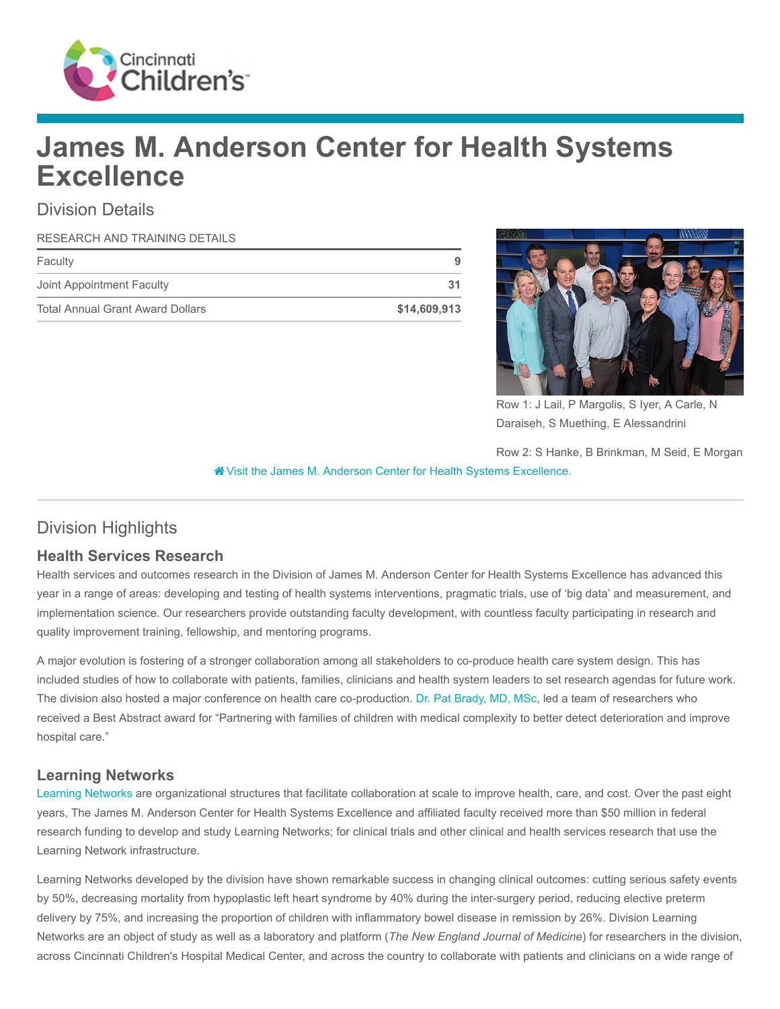

# James M. Anderson Center for Health Systems **Excellence**

## Division Details

#### RESEARCH AND TRAINING DETAILS

| Faculty                                 | 9            |
|-----------------------------------------|--------------|
| Joint Appointment Faculty               |              |
| <b>Total Annual Grant Award Dollars</b> | \$14,609,913 |



Row 1: J Lail, P Margolis, S Iyer, A Carle, N Daraiseh, S Muething, E Alessandrini

Row 2: S Hanke, B Brinkman, M Seid, E Morgan

[Visit the James M. Anderson Center for Health Systems Excellence.](https://www.cincinnatichildrens.org/research/divisions/j/anderson-center)

# Division Highlights

#### Health Services Research

Health services and outcomes research in the Division of James M. Anderson Center for Health Systems Excellence has advanced this year in a range of areas: developing and testing of health systems interventions, pragmatic trials, use of 'big data' and measurement, and implementation science. Our researchers provide outstanding faculty development, with countless faculty participating in research and quality improvement training, fellowship, and mentoring programs.

A major evolution is fostering of a stronger collaboration among all stakeholders to co-produce health care system design. This has included studies of how to collaborate with patients, families, clinicians and health system leaders to set research agendas for future work. The division also hosted a major conference on health care co-production. [Dr. Pat Brady, MD, MSc](https://www.cincinnatichildrens.org/bio/b/patrick-brady), led a team of researchers who received a Best Abstract award for "Partnering with families of children with medical complexity to better detect deterioration and improve hospital care."

#### Learning Networks

[Learning Networks](https://www.cincinnatichildrens.org/service/j/anderson-center/learning-networks) are organizational structures that facilitate collaboration at scale to improve health, care, and cost. Over the past eight years, The James M. Anderson Center for Health Systems Excellence and affiliated faculty received more than \$50 million in federal research funding to develop and study Learning Networks; for clinical trials and other clinical and health services research that use the Learning Network infrastructure.

Learning Networks developed by the division have shown remarkable success in changing clinical outcomes: cutting serious safety events by 50%, decreasing mortality from hypoplastic left heart syndrome by 40% during the inter-surgery period, reducing elective preterm delivery by 75%, and increasing the proportion of children with inflammatory bowel disease in remission by 26%. Division Learning Networks are an object of study as well as a laboratory and platform (The New England Journal of Medicine) for researchers in the division, across Cincinnati Children's Hospital Medical Center, and across the country to collaborate with patients and clinicians on a wide range of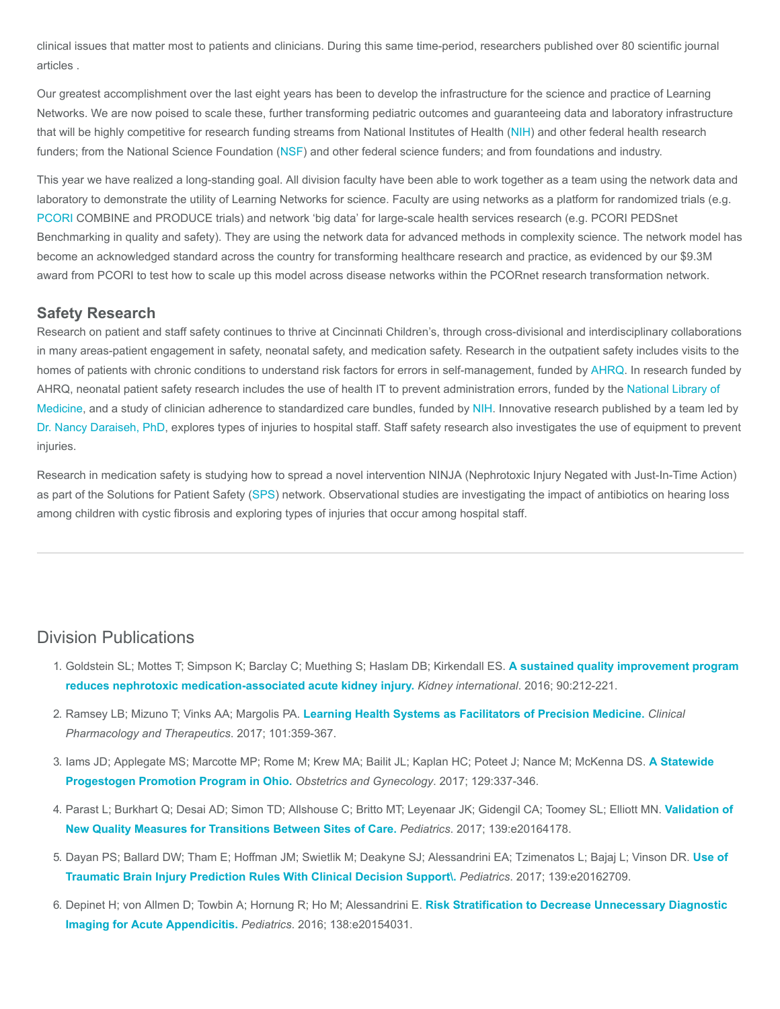clinical issues that matter most to patients and clinicians. During this same time-period, researchers published over 80 scientific journal articles .

Our greatest accomplishment over the last eight years has been to develop the infrastructure for the science and practice of Learning Networks. We are now poised to scale these, further transforming pediatric outcomes and guaranteeing data and laboratory infrastructure that will be highly competitive for research funding streams from National Institutes of Health ([NIH\)](https://www.nih.gov/) and other federal health research funders; from the National Science Foundation ([NSF](https://www.nsf.gov/)) and other federal science funders; and from foundations and industry.

This year we have realized a long-standing goal. All division faculty have been able to work together as a team using the network data and laboratory to demonstrate the utility of Learning Networks for science. Faculty are using networks as a platform for randomized trials (e.g. [PCORI](https://www.pcori.org/) COMBINE and PRODUCE trials) and network 'big data' for large-scale health services research (e.g. PCORI PEDSnet Benchmarking in quality and safety). They are using the network data for advanced methods in complexity science. The network model has become an acknowledged standard across the country for transforming healthcare research and practice, as evidenced by our \$9.3M award from PCORI to test how to scale up this model across disease networks within the PCORnet research transformation network.

#### Safety Research

Research on patient and staff safety continues to thrive at Cincinnati Children's, through cross-divisional and interdisciplinary collaborations in many areas-patient engagement in safety, neonatal safety, and medication safety. Research in the outpatient safety includes visits to the homes of patients with chronic conditions to understand risk factors for errors in self-management, funded by [AHRQ](https://www.ahrq.gov/). In research funded by [AHRQ, neonatal patient safety research includes the use of health IT to prevent administration errors, funded by the National Library of](https://www.nlm.nih.gov/) Medicine, and a study of clinician adherence to standardized care bundles, funded by [NIH.](https://www.nih.gov/) Innovative research published by a team led by [Dr. Nancy Daraiseh, PhD,](https://www.cincinnatichildrens.org/bio/d/nancy-daraiseh) explores types of injuries to hospital staff. Staff safety research also investigates the use of equipment to prevent injuries.

Research in medication safety is studying how to spread a novel intervention NINJA (Nephrotoxic Injury Negated with Just-In-Time Action) as part of the Solutions for Patient Safety ([SPS](http://www.solutionsforpatientsafety.org/)) network. Observational studies are investigating the impact of antibiotics on hearing loss among children with cystic fibrosis and exploring types of injuries that occur among hospital staff.

#### Division Publications

- 1. [Goldstein SL; Mottes T; Simpson K; Barclay C; Muething S; Haslam DB; Kirkendall ES.](https://www.ncbi.nlm.nih.gov/pubmed/27217196) A sustained quality improvement program reduces nephrotoxic medication-associated acute kidney injury. Kidney international. 2016; 90:212-221.
- 2. Ramsey LB; Mizuno T; Vinks AA; Margolis PA. [Learning Health Systems as Facilitators of Precision Medicine.](https://www.ncbi.nlm.nih.gov/pubmed/27984650) Clinical Pharmacology and Therapeutics. 2017; 101:359-367.
- 3. [Iams JD; Applegate MS; Marcotte MP; Rome M; Krew MA; Bailit JL; Kaplan HC; Poteet J; Nance M; McKenna DS.](https://www.ncbi.nlm.nih.gov/pubmed/28079774) A Statewide Progestogen Promotion Program in Ohio. Obstetrics and Gynecology. 2017; 129:337-346.
- 4. [Parast L; Burkhart Q; Desai AD; Simon TD; Allshouse C; Britto MT; Leyenaar JK; Gidengil CA; Toomey SL; Elliott MN.](https://www.ncbi.nlm.nih.gov/pubmed/28557755) Validation of New Quality Measures for Transitions Between Sites of Care. Pediatrics. 2017; 139:e20164178.
- 5. [Dayan PS; Ballard DW; Tham E; Hoffman JM; Swietlik M; Deakyne SJ; Alessandrini EA; Tzimenatos L; Bajaj L; Vinson DR.](https://www.ncbi.nlm.nih.gov/pubmed/28341799) Use of Traumatic Brain Injury Prediction Rules With Clinical Decision Support\. Pediatrics. 2017; 139:e20162709.
- 6. [Depinet H; von Allmen D; Towbin A; Hornung R; Ho M; Alessandrini E.](https://www.ncbi.nlm.nih.gov/pubmed/27553220) Risk Stratification to Decrease Unnecessary Diagnostic Imaging for Acute Appendicitis. Pediatrics. 2016; 138:e20154031.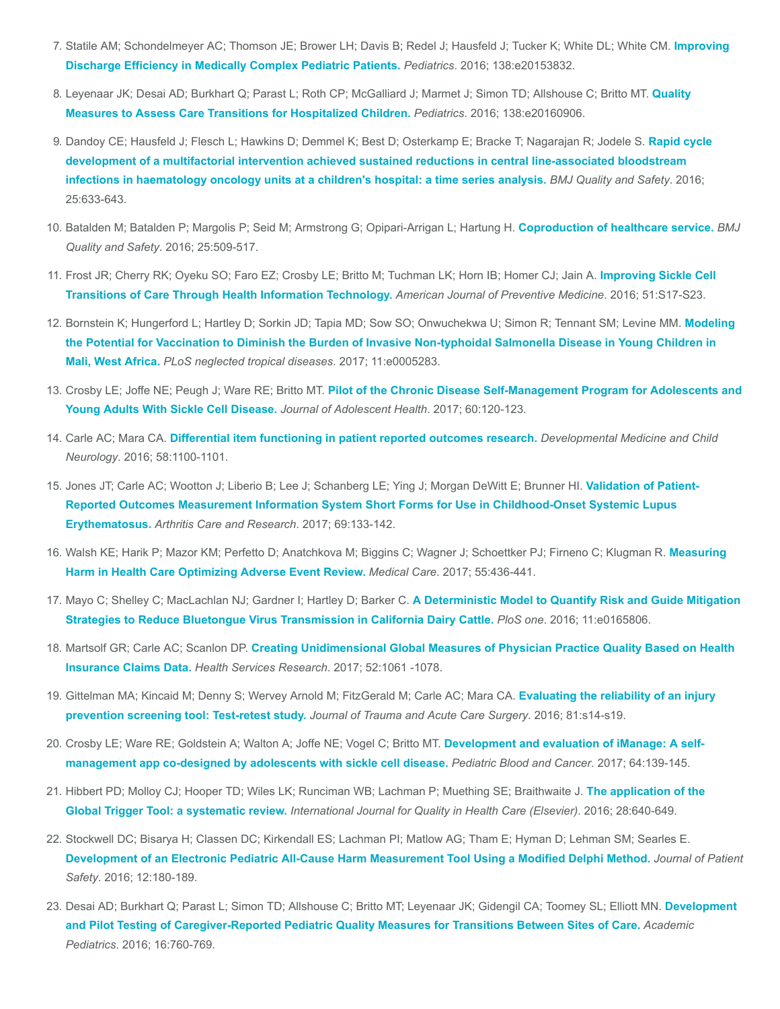- 7. [Statile AM; Schondelmeyer AC; Thomson JE; Brower LH; Davis B; Redel J; Hausfeld J; Tucker K; White DL; White CM.](https://www.ncbi.nlm.nih.gov/pubmed/27412640) Improving Discharge Efficiency in Medically Complex Pediatric Patients. Pediatrics. 2016; 138:e20153832.
- 8. [Leyenaar JK; Desai AD; Burkhart Q; Parast L; Roth CP; McGalliard J; Marmet J; Simon TD; Allshouse C; Britto MT.](https://www.ncbi.nlm.nih.gov/pubmed/27471218) Quality Measures to Assess Care Transitions for Hospitalized Children. Pediatrics. 2016; 138:e20160906.
- 9. [Dandoy CE; Hausfeld J; Flesch L; Hawkins D; Demmel K; Best D; Osterkamp E; Bracke T; Nagarajan R; Jodele S.](https://www.ncbi.nlm.nih.gov/pubmed/26608456) Rapid cycle development of a multifactorial intervention achieved sustained reductions in central line-associated bloodstream infections in haematology oncology units at a children's hospital: a time series analysis. BMJ Quality and Safety. 2016; 25:633-643.
- 10. Batalden M; Batalden P; Margolis P; Seid M; Armstrong G; Opipari-Arrigan L; Hartung H. [Coproduction of healthcare service.](https://www.ncbi.nlm.nih.gov/pubmed/26376674) BMJ Quality and Safety. 2016; 25:509-517.
- 11. [Frost JR; Cherry RK; Oyeku SO; Faro EZ; Crosby LE; Britto M; Tuchman LK; Horn IB; Homer CJ; Jain A.](https://www.ncbi.nlm.nih.gov/pubmed/27320460) Improving Sickle Cell Transitions of Care Through Health Information Technology. American Journal of Preventive Medicine. 2016; 51:S17-S23.
- 12. [Bornstein K; Hungerford L; Hartley D; Sorkin JD; Tapia MD; Sow SO; Onwuchekwa U; Simon R; Tennant SM; Levine MM.](https://www.ncbi.nlm.nih.gov/pubmed/28182657) Modeling the Potential for Vaccination to Diminish the Burden of Invasive Non-typhoidal Salmonella Disease in Young Children in Mali, West Africa. PLoS neglected tropical diseases. 2017; 11:e0005283.
- 13. Crosby LE; Joffe NE; Peugh J; Ware RE; Britto MT. [Pilot of the Chronic Disease Self-Management Program for Adolescents and](https://www.ncbi.nlm.nih.gov/pubmed/27793727) Young Adults With Sickle Cell Disease. Journal of Adolescent Health. 2017; 60:120-123.
- 14. Carle AC; Mara CA. [Differential item functioning in patient reported outcomes research.](https://www.ncbi.nlm.nih.gov/pubmed/27230135) Developmental Medicine and Child Neurology. 2016; 58:1100-1101.
- 15. [Jones JT; Carle AC; Wootton J; Liberio B; Lee J; Schanberg LE; Ying J; Morgan DeWitt E; Brunner HI.](https://www.ncbi.nlm.nih.gov/pubmed/27111350) Validation of Patient-Reported Outcomes Measurement Information System Short Forms for Use in Childhood-Onset Systemic Lupus Erythematosus. Arthritis Care and Research. 2017; 69:133-142.
- 16. [Walsh KE; Harik P; Mazor KM; Perfetto D; Anatchkova M; Biggins C; Wagner J; Schoettker PJ; Firneno C; Klugman R.](https://www.ncbi.nlm.nih.gov/pubmed/27906769) Measuring Harm in Health Care Optimizing Adverse Event Review. Medical Care. 2017; 55:436-441.
- 17. Mayo C; Shelley C; MacLachlan NJ; Gardner I; Hartley D; Barker C. A Deterministic Model to Quantify Risk and Guide Mitigation [Strategies to Reduce Bluetongue Virus Transmission in California Dairy Cattle.](https://www.ncbi.nlm.nih.gov/pubmed/27812161) PloS one. 2016; 11:e0165806.
- 18. Martsolf GR; Carle AC; Scanlon DP. [Creating Unidimensional Global Measures of Physician Practice Quality Based on Health](https://www.ncbi.nlm.nih.gov/pubmed/27452191) Insurance Claims Data. Health Services Research. 2017; 52:1061 -1078.
- 19. [Gittelman MA; Kincaid M; Denny S; Wervey Arnold M; FitzGerald M; Carle AC; Mara CA.](https://www.ncbi.nlm.nih.gov/pubmed/27488487) Evaluating the reliability of an injury prevention screening tool: Test-retest study. Journal of Trauma and Acute Care Surgery. 2016; 81:s14-s19.
- 20. [Crosby LE; Ware RE; Goldstein A; Walton A; Joffe NE; Vogel C; Britto MT.](https://www.ncbi.nlm.nih.gov/pubmed/27574031) Development and evaluation of iManage: A selfmanagement app co-designed by adolescents with sickle cell disease. Pediatric Blood and Cancer. 2017; 64:139-145.
- 21. [Hibbert PD; Molloy CJ; Hooper TD; Wiles LK; Runciman WB; Lachman P; Muething SE; Braithwaite J.](https://www.ncbi.nlm.nih.gov/pubmed/27664822) The application of the Global Trigger Tool: a systematic review. International Journal for Quality in Health Care (Elsevier). 2016; 28:640-649.
- 22. Stockwell DC; Bisarya H; Classen DC; Kirkendall ES; Lachman PI; Matlow AG; Tham E; Hyman D; Lehman SM; Searles E. [Development of an Electronic Pediatric All-Cause Harm Measurement Tool Using a Modified Delphi Method.](https://www.ncbi.nlm.nih.gov/pubmed/25162206) Journal of Patient Safety. 2016; 12:180-189.
- 23. [Desai AD; Burkhart Q; Parast L; Simon TD; Allshouse C; Britto MT; Leyenaar JK; Gidengil CA; Toomey SL; Elliott MN.](https://www.ncbi.nlm.nih.gov/pubmed/27495373) Development and Pilot Testing of Caregiver-Reported Pediatric Quality Measures for Transitions Between Sites of Care. Academic Pediatrics. 2016; 16:760-769.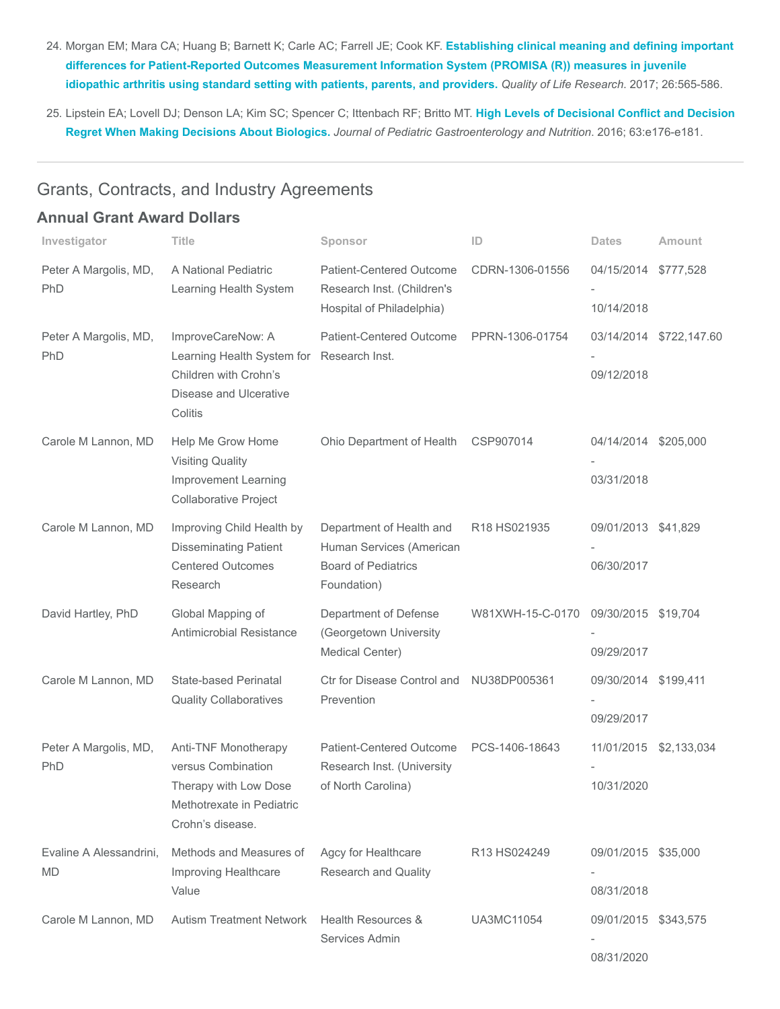- 24. Morgan EM; Mara CA; Huang B; Barnett K; Carle AC; Farrell JE; Cook KF. Establishing clinical meaning and defining important [differences for Patient-Reported Outcomes Measurement Information System \(PROMISA \(R\)\) measures in juvenile](https://www.ncbi.nlm.nih.gov/pubmed/27913986) idiopathic arthritis using standard setting with patients, parents, and providers. Quality of Life Research. 2017; 26:565-586.
- 25. [Lipstein EA; Lovell DJ; Denson LA; Kim SC; Spencer C; Ittenbach RF; Britto MT.](https://www.ncbi.nlm.nih.gov/pubmed/27749390) High Levels of Decisional Conflict and Decision Regret When Making Decisions About Biologics. Journal of Pediatric Gastroenterology and Nutrition. 2016; 63:e176-e181.

## Grants, Contracts, and Industry Agreements

#### Annual Grant Award Dollars

| Investigator                         | Title                                                                                                                        | Sponsor                                                                                           | ID               | <b>Dates</b>                       | Amount                  |
|--------------------------------------|------------------------------------------------------------------------------------------------------------------------------|---------------------------------------------------------------------------------------------------|------------------|------------------------------------|-------------------------|
| Peter A Margolis, MD,<br>PhD         | A National Pediatric<br>Learning Health System                                                                               | <b>Patient-Centered Outcome</b><br>Research Inst. (Children's<br>Hospital of Philadelphia)        | CDRN-1306-01556  | 04/15/2014<br>10/14/2018           | \$777,528               |
| Peter A Margolis, MD,<br>PhD         | ImproveCareNow: A<br>Learning Health System for Research Inst.<br>Children with Crohn's<br>Disease and Ulcerative<br>Colitis | Patient-Centered Outcome                                                                          | PPRN-1306-01754  | 09/12/2018                         | 03/14/2014 \$722,147.60 |
| Carole M Lannon, MD                  | Help Me Grow Home<br><b>Visiting Quality</b><br>Improvement Learning<br><b>Collaborative Project</b>                         | Ohio Department of Health                                                                         | CSP907014        | 04/14/2014 \$205,000<br>03/31/2018 |                         |
| Carole M Lannon, MD                  | Improving Child Health by<br><b>Disseminating Patient</b><br><b>Centered Outcomes</b><br>Research                            | Department of Health and<br>Human Services (American<br><b>Board of Pediatrics</b><br>Foundation) | R18 HS021935     | 09/01/2013 \$41,829<br>06/30/2017  |                         |
| David Hartley, PhD                   | Global Mapping of<br>Antimicrobial Resistance                                                                                | Department of Defense<br>(Georgetown University<br>Medical Center)                                | W81XWH-15-C-0170 | 09/30/2015 \$19,704<br>09/29/2017  |                         |
| Carole M Lannon, MD                  | State-based Perinatal<br><b>Quality Collaboratives</b>                                                                       | Ctr for Disease Control and<br>Prevention                                                         | NU38DP005361     | 09/30/2014 \$199,411<br>09/29/2017 |                         |
| Peter A Margolis, MD,<br>PhD         | Anti-TNF Monotherapy<br>versus Combination<br>Therapy with Low Dose<br>Methotrexate in Pediatric<br>Crohn's disease.         | Patient-Centered Outcome<br>Research Inst. (University<br>of North Carolina)                      | PCS-1406-18643   | 10/31/2020                         | 11/01/2015 \$2,133,034  |
| Evaline A Alessandrini,<br><b>MD</b> | Methods and Measures of<br>Improving Healthcare<br>Value                                                                     | Agcy for Healthcare<br><b>Research and Quality</b>                                                | R13 HS024249     | 09/01/2015 \$35,000<br>08/31/2018  |                         |
| Carole M Lannon, MD                  | <b>Autism Treatment Network</b>                                                                                              | Health Resources &<br>Services Admin                                                              | UA3MC11054       | 09/01/2015 \$343,575<br>08/31/2020 |                         |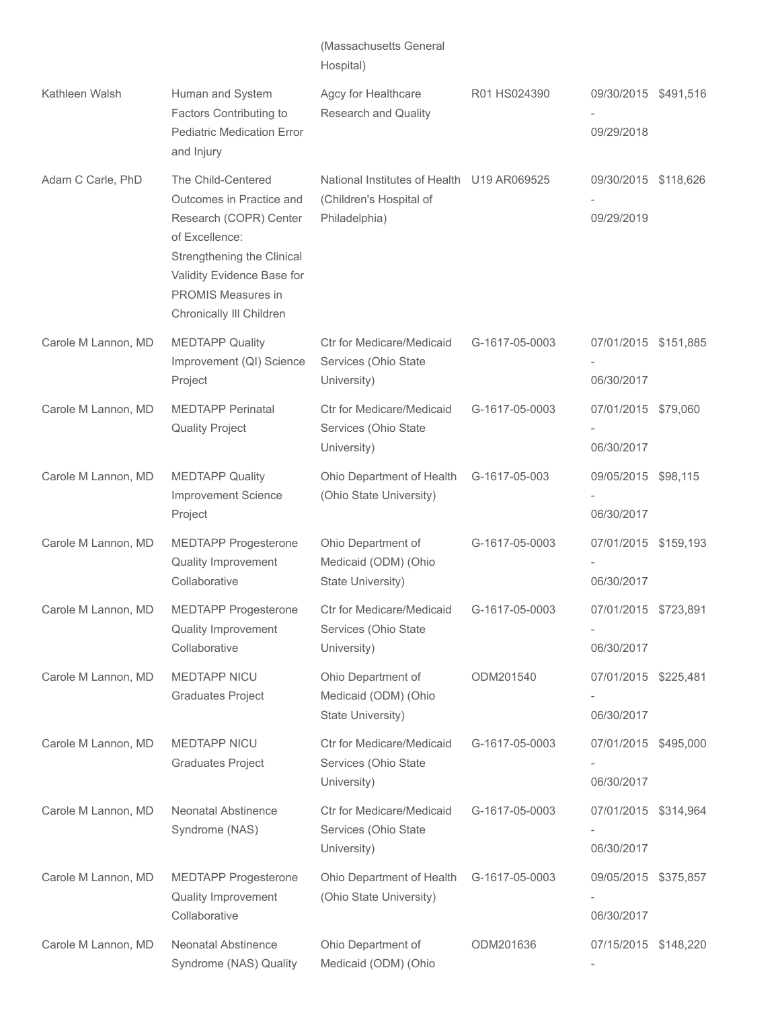|                     |                                                                                                                                                                                                                 | (Massachusetts General<br>Hospital)                                                    |                |                                    |  |
|---------------------|-----------------------------------------------------------------------------------------------------------------------------------------------------------------------------------------------------------------|----------------------------------------------------------------------------------------|----------------|------------------------------------|--|
| Kathleen Walsh      | Human and System<br>Factors Contributing to                                                                                                                                                                     | Agcy for Healthcare<br><b>Research and Quality</b>                                     | R01 HS024390   | 09/30/2015 \$491,516               |  |
|                     | <b>Pediatric Medication Error</b><br>and Injury                                                                                                                                                                 |                                                                                        |                | 09/29/2018                         |  |
| Adam C Carle, PhD   | The Child-Centered<br>Outcomes in Practice and<br>Research (COPR) Center<br>of Excellence:<br>Strengthening the Clinical<br>Validity Evidence Base for<br><b>PROMIS Measures in</b><br>Chronically III Children | National Institutes of Health U19 AR069525<br>(Children's Hospital of<br>Philadelphia) |                | 09/30/2015 \$118,626<br>09/29/2019 |  |
| Carole M Lannon, MD | <b>MEDTAPP Quality</b><br>Improvement (QI) Science<br>Project                                                                                                                                                   | <b>Ctr for Medicare/Medicaid</b><br>Services (Ohio State<br>University)                | G-1617-05-0003 | 07/01/2015 \$151,885<br>06/30/2017 |  |
| Carole M Lannon, MD | <b>MEDTAPP Perinatal</b><br><b>Quality Project</b>                                                                                                                                                              | Ctr for Medicare/Medicaid<br>Services (Ohio State<br>University)                       | G-1617-05-0003 | 07/01/2015 \$79,060<br>06/30/2017  |  |
| Carole M Lannon, MD | <b>MEDTAPP Quality</b><br>Improvement Science<br>Project                                                                                                                                                        | Ohio Department of Health<br>(Ohio State University)                                   | G-1617-05-003  | 09/05/2015 \$98,115<br>06/30/2017  |  |
| Carole M Lannon, MD | <b>MEDTAPP Progesterone</b><br>Quality Improvement<br>Collaborative                                                                                                                                             | Ohio Department of<br>Medicaid (ODM) (Ohio<br>State University)                        | G-1617-05-0003 | 07/01/2015 \$159,193<br>06/30/2017 |  |
| Carole M Lannon, MD | <b>MEDTAPP Progesterone</b><br>Quality Improvement<br>Collaborative                                                                                                                                             | Ctr for Medicare/Medicaid G-1617-05-0003<br>Services (Ohio State<br>University)        |                | 07/01/2015 \$723,891<br>06/30/2017 |  |
| Carole M Lannon, MD | <b>MEDTAPP NICU</b><br><b>Graduates Project</b>                                                                                                                                                                 | Ohio Department of<br>Medicaid (ODM) (Ohio<br>State University)                        | ODM201540      | 07/01/2015 \$225,481<br>06/30/2017 |  |
| Carole M Lannon, MD | <b>MEDTAPP NICU</b><br><b>Graduates Project</b>                                                                                                                                                                 | Ctr for Medicare/Medicaid<br>Services (Ohio State<br>University)                       | G-1617-05-0003 | 07/01/2015 \$495,000<br>06/30/2017 |  |
| Carole M Lannon, MD | <b>Neonatal Abstinence</b><br>Syndrome (NAS)                                                                                                                                                                    | Ctr for Medicare/Medicaid<br>Services (Ohio State<br>University)                       | G-1617-05-0003 | 07/01/2015 \$314,964<br>06/30/2017 |  |
| Carole M Lannon, MD | <b>MEDTAPP Progesterone</b><br>Quality Improvement<br>Collaborative                                                                                                                                             | Ohio Department of Health<br>(Ohio State University)                                   | G-1617-05-0003 | 09/05/2015 \$375,857<br>06/30/2017 |  |
| Carole M Lannon, MD | <b>Neonatal Abstinence</b><br>Syndrome (NAS) Quality                                                                                                                                                            | Ohio Department of<br>Medicaid (ODM) (Ohio                                             | ODM201636      | 07/15/2015 \$148,220               |  |